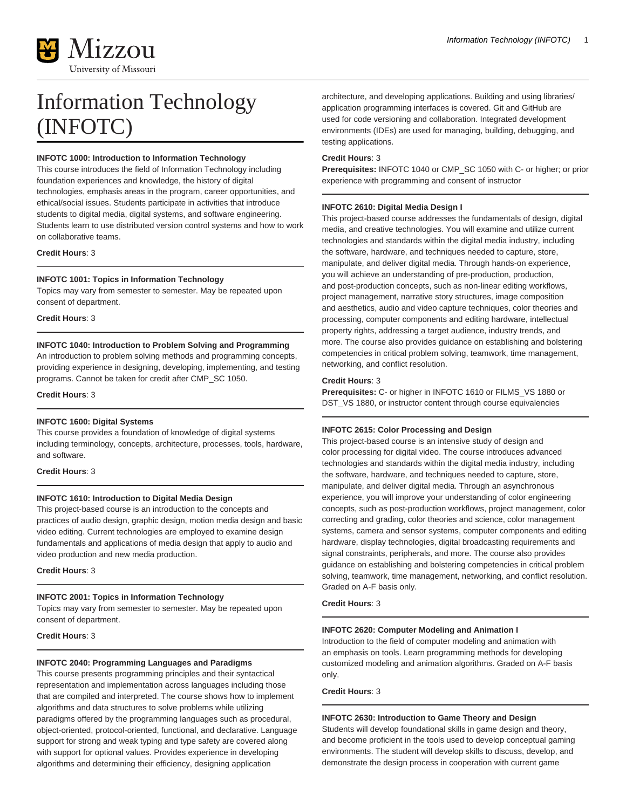

# Information Technology (INFOTC)

# **INFOTC 1000: Introduction to Information Technology**

This course introduces the field of Information Technology including foundation experiences and knowledge, the history of digital technologies, emphasis areas in the program, career opportunities, and ethical/social issues. Students participate in activities that introduce students to digital media, digital systems, and software engineering. Students learn to use distributed version control systems and how to work on collaborative teams.

## **Credit Hours**: 3

## **INFOTC 1001: Topics in Information Technology**

Topics may vary from semester to semester. May be repeated upon consent of department.

**Credit Hours**: 3

## **INFOTC 1040: Introduction to Problem Solving and Programming**

An introduction to problem solving methods and programming concepts, providing experience in designing, developing, implementing, and testing programs. Cannot be taken for credit after CMP\_SC 1050.

#### **Credit Hours**: 3

## **INFOTC 1600: Digital Systems**

This course provides a foundation of knowledge of digital systems including terminology, concepts, architecture, processes, tools, hardware, and software.

#### **Credit Hours**: 3

## **INFOTC 1610: Introduction to Digital Media Design**

This project-based course is an introduction to the concepts and practices of audio design, graphic design, motion media design and basic video editing. Current technologies are employed to examine design fundamentals and applications of media design that apply to audio and video production and new media production.

**Credit Hours**: 3

## **INFOTC 2001: Topics in Information Technology**

Topics may vary from semester to semester. May be repeated upon consent of department.

**Credit Hours**: 3

#### **INFOTC 2040: Programming Languages and Paradigms**

This course presents programming principles and their syntactical representation and implementation across languages including those that are compiled and interpreted. The course shows how to implement algorithms and data structures to solve problems while utilizing paradigms offered by the programming languages such as procedural, object-oriented, protocol-oriented, functional, and declarative. Language support for strong and weak typing and type safety are covered along with support for optional values. Provides experience in developing algorithms and determining their efficiency, designing application

architecture, and developing applications. Building and using libraries/ application programming interfaces is covered. Git and GitHub are used for code versioning and collaboration. Integrated development environments (IDEs) are used for managing, building, debugging, and testing applications.

#### **Credit Hours**: 3

**Prerequisites:** INFOTC 1040 or CMP\_SC 1050 with C- or higher; or prior experience with programming and consent of instructor

## **INFOTC 2610: Digital Media Design I**

This project-based course addresses the fundamentals of design, digital media, and creative technologies. You will examine and utilize current technologies and standards within the digital media industry, including the software, hardware, and techniques needed to capture, store, manipulate, and deliver digital media. Through hands-on experience, you will achieve an understanding of pre-production, production, and post-production concepts, such as non-linear editing workflows, project management, narrative story structures, image composition and aesthetics, audio and video capture techniques, color theories and processing, computer components and editing hardware, intellectual property rights, addressing a target audience, industry trends, and more. The course also provides guidance on establishing and bolstering competencies in critical problem solving, teamwork, time management, networking, and conflict resolution.

## **Credit Hours**: 3

**Prerequisites:** C- or higher in INFOTC 1610 or FILMS\_VS 1880 or DST\_VS 1880, or instructor content through course equivalencies

#### **INFOTC 2615: Color Processing and Design**

This project-based course is an intensive study of design and color processing for digital video. The course introduces advanced technologies and standards within the digital media industry, including the software, hardware, and techniques needed to capture, store, manipulate, and deliver digital media. Through an asynchronous experience, you will improve your understanding of color engineering concepts, such as post-production workflows, project management, color correcting and grading, color theories and science, color management systems, camera and sensor systems, computer components and editing hardware, display technologies, digital broadcasting requirements and signal constraints, peripherals, and more. The course also provides guidance on establishing and bolstering competencies in critical problem solving, teamwork, time management, networking, and conflict resolution. Graded on A-F basis only.

**Credit Hours**: 3

#### **INFOTC 2620: Computer Modeling and Animation I**

Introduction to the field of computer modeling and animation with an emphasis on tools. Learn programming methods for developing customized modeling and animation algorithms. Graded on A-F basis only.

**Credit Hours**: 3

# **INFOTC 2630: Introduction to Game Theory and Design**

Students will develop foundational skills in game design and theory, and become proficient in the tools used to develop conceptual gaming environments. The student will develop skills to discuss, develop, and demonstrate the design process in cooperation with current game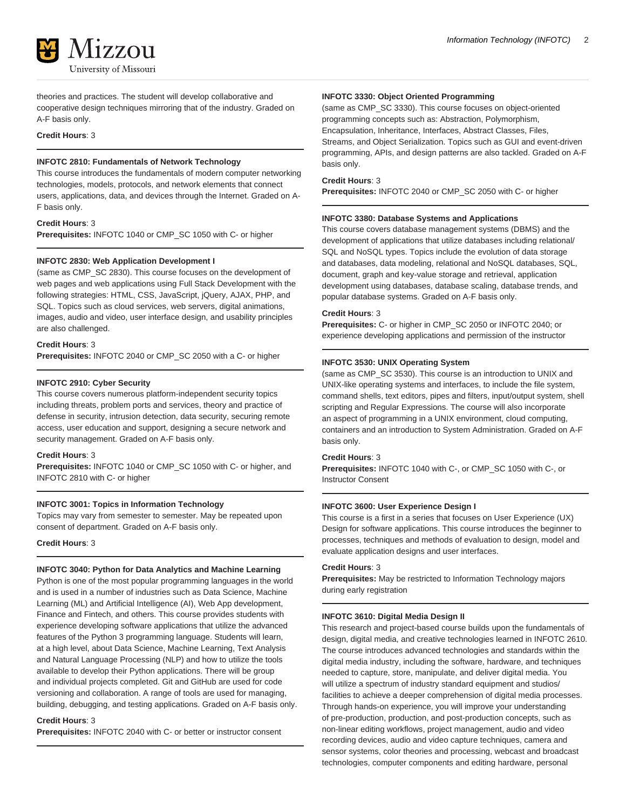theories and practices. The student will develop collaborative and cooperative design techniques mirroring that of the industry. Graded on A-F basis only.

## **Credit Hours**: 3

## **INFOTC 2810: Fundamentals of Network Technology**

This course introduces the fundamentals of modern computer networking technologies, models, protocols, and network elements that connect users, applications, data, and devices through the Internet. Graded on A-F basis only.

#### **Credit Hours**: 3

**Prerequisites:** INFOTC 1040 or CMP\_SC 1050 with C- or higher

#### **INFOTC 2830: Web Application Development I**

(same as CMP\_SC 2830). This course focuses on the development of web pages and web applications using Full Stack Development with the following strategies: HTML, CSS, JavaScript, jQuery, AJAX, PHP, and SQL. Topics such as cloud services, web servers, digital animations, images, audio and video, user interface design, and usability principles are also challenged.

#### **Credit Hours**: 3

**Prerequisites:** INFOTC 2040 or CMP\_SC 2050 with a C- or higher

#### **INFOTC 2910: Cyber Security**

This course covers numerous platform-independent security topics including threats, problem ports and services, theory and practice of defense in security, intrusion detection, data security, securing remote access, user education and support, designing a secure network and security management. Graded on A-F basis only.

#### **Credit Hours**: 3

**Prerequisites:** INFOTC 1040 or CMP\_SC 1050 with C- or higher, and INFOTC 2810 with C- or higher

#### **INFOTC 3001: Topics in Information Technology**

Topics may vary from semester to semester. May be repeated upon consent of department. Graded on A-F basis only.

**Credit Hours**: 3

### **INFOTC 3040: Python for Data Analytics and Machine Learning**

Python is one of the most popular programming languages in the world and is used in a number of industries such as Data Science, Machine Learning (ML) and Artificial Intelligence (AI), Web App development, Finance and Fintech, and others. This course provides students with experience developing software applications that utilize the advanced features of the Python 3 programming language. Students will learn, at a high level, about Data Science, Machine Learning, Text Analysis and Natural Language Processing (NLP) and how to utilize the tools available to develop their Python applications. There will be group and individual projects completed. Git and GitHub are used for code versioning and collaboration. A range of tools are used for managing, building, debugging, and testing applications. Graded on A-F basis only.

## **Credit Hours**: 3

**Prerequisites:** INFOTC 2040 with C- or better or instructor consent

#### **INFOTC 3330: Object Oriented Programming**

(same as CMP\_SC 3330). This course focuses on object-oriented programming concepts such as: Abstraction, Polymorphism, Encapsulation, Inheritance, Interfaces, Abstract Classes, Files, Streams, and Object Serialization. Topics such as GUI and event-driven programming, APIs, and design patterns are also tackled. Graded on A-F basis only.

### **Credit Hours**: 3

**Prerequisites:** INFOTC 2040 or CMP\_SC 2050 with C- or higher

#### **INFOTC 3380: Database Systems and Applications**

This course covers database management systems (DBMS) and the development of applications that utilize databases including relational/ SQL and NoSQL types. Topics include the evolution of data storage and databases, data modeling, relational and NoSQL databases, SQL, document, graph and key-value storage and retrieval, application development using databases, database scaling, database trends, and popular database systems. Graded on A-F basis only.

#### **Credit Hours**: 3

**Prerequisites:** C- or higher in CMP\_SC 2050 or INFOTC 2040; or experience developing applications and permission of the instructor

#### **INFOTC 3530: UNIX Operating System**

(same as CMP\_SC 3530). This course is an introduction to UNIX and UNIX-like operating systems and interfaces, to include the file system, command shells, text editors, pipes and filters, input/output system, shell scripting and Regular Expressions. The course will also incorporate an aspect of programming in a UNIX environment, cloud computing, containers and an introduction to System Administration. Graded on A-F basis only.

#### **Credit Hours**: 3

**Prerequisites:** INFOTC 1040 with C-, or CMP\_SC 1050 with C-, or Instructor Consent

## **INFOTC 3600: User Experience Design I**

This course is a first in a series that focuses on User Experience (UX) Design for software applications. This course introduces the beginner to processes, techniques and methods of evaluation to design, model and evaluate application designs and user interfaces.

## **Credit Hours**: 3

**Prerequisites:** May be restricted to Information Technology majors during early registration

## **INFOTC 3610: Digital Media Design II**

This research and project-based course builds upon the fundamentals of design, digital media, and creative technologies learned in INFOTC 2610. The course introduces advanced technologies and standards within the digital media industry, including the software, hardware, and techniques needed to capture, store, manipulate, and deliver digital media. You will utilize a spectrum of industry standard equipment and studios/ facilities to achieve a deeper comprehension of digital media processes. Through hands-on experience, you will improve your understanding of pre-production, production, and post-production concepts, such as non-linear editing workflows, project management, audio and video recording devices, audio and video capture techniques, camera and sensor systems, color theories and processing, webcast and broadcast technologies, computer components and editing hardware, personal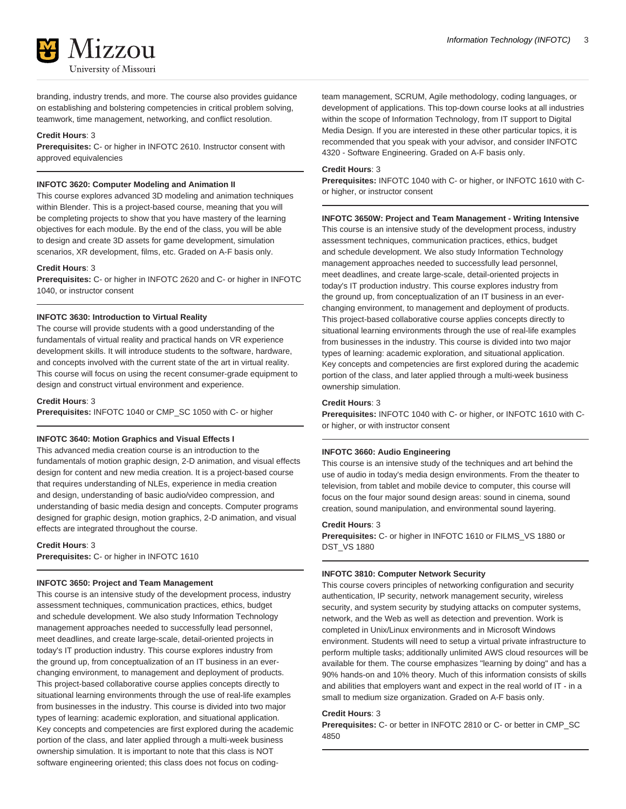branding, industry trends, and more. The course also provides guidance on establishing and bolstering competencies in critical problem solving, teamwork, time management, networking, and conflict resolution.

## **Credit Hours**: 3

**Prerequisites:** C- or higher in INFOTC 2610. Instructor consent with approved equivalencies

# **INFOTC 3620: Computer Modeling and Animation II**

This course explores advanced 3D modeling and animation techniques within Blender. This is a project-based course, meaning that you will be completing projects to show that you have mastery of the learning objectives for each module. By the end of the class, you will be able to design and create 3D assets for game development, simulation scenarios, XR development, films, etc. Graded on A-F basis only.

## **Credit Hours**: 3

**Prerequisites:** C- or higher in INFOTC 2620 and C- or higher in INFOTC 1040, or instructor consent

## **INFOTC 3630: Introduction to Virtual Reality**

The course will provide students with a good understanding of the fundamentals of virtual reality and practical hands on VR experience development skills. It will introduce students to the software, hardware, and concepts involved with the current state of the art in virtual reality. This course will focus on using the recent consumer-grade equipment to design and construct virtual environment and experience.

#### **Credit Hours**: 3

**Prerequisites:** INFOTC 1040 or CMP\_SC 1050 with C- or higher

#### **INFOTC 3640: Motion Graphics and Visual Effects I**

This advanced media creation course is an introduction to the fundamentals of motion graphic design, 2-D animation, and visual effects design for content and new media creation. It is a project-based course that requires understanding of NLEs, experience in media creation and design, understanding of basic audio/video compression, and understanding of basic media design and concepts. Computer programs designed for graphic design, motion graphics, 2-D animation, and visual effects are integrated throughout the course.

# **Credit Hours**: 3

**Prerequisites:** C- or higher in INFOTC 1610

## **INFOTC 3650: Project and Team Management**

This course is an intensive study of the development process, industry assessment techniques, communication practices, ethics, budget and schedule development. We also study Information Technology management approaches needed to successfully lead personnel, meet deadlines, and create large-scale, detail-oriented projects in today's IT production industry. This course explores industry from the ground up, from conceptualization of an IT business in an everchanging environment, to management and deployment of products. This project-based collaborative course applies concepts directly to situational learning environments through the use of real-life examples from businesses in the industry. This course is divided into two major types of learning: academic exploration, and situational application. Key concepts and competencies are first explored during the academic portion of the class, and later applied through a multi-week business ownership simulation. It is important to note that this class is NOT software engineering oriented; this class does not focus on codingMedia Design. If you are interested in these other particular topics, it is recommended that you speak with your advisor, and consider INFOTC 4320 - Software Engineering. Graded on A-F basis only.

#### **Credit Hours**: 3

**Prerequisites:** INFOTC 1040 with C- or higher, or INFOTC 1610 with Cor higher, or instructor consent

## **INFOTC 3650W: Project and Team Management - Writing Intensive**

This course is an intensive study of the development process, industry assessment techniques, communication practices, ethics, budget and schedule development. We also study Information Technology management approaches needed to successfully lead personnel, meet deadlines, and create large-scale, detail-oriented projects in today's IT production industry. This course explores industry from the ground up, from conceptualization of an IT business in an everchanging environment, to management and deployment of products. This project-based collaborative course applies concepts directly to situational learning environments through the use of real-life examples from businesses in the industry. This course is divided into two major types of learning: academic exploration, and situational application. Key concepts and competencies are first explored during the academic portion of the class, and later applied through a multi-week business ownership simulation.

#### **Credit Hours**: 3

**Prerequisites:** INFOTC 1040 with C- or higher, or INFOTC 1610 with Cor higher, or with instructor consent

#### **INFOTC 3660: Audio Engineering**

This course is an intensive study of the techniques and art behind the use of audio in today's media design environments. From the theater to television, from tablet and mobile device to computer, this course will focus on the four major sound design areas: sound in cinema, sound creation, sound manipulation, and environmental sound layering.

#### **Credit Hours**: 3

**Prerequisites:** C- or higher in INFOTC 1610 or FILMS\_VS 1880 or DST\_VS 1880

#### **INFOTC 3810: Computer Network Security**

This course covers principles of networking configuration and security authentication, IP security, network management security, wireless security, and system security by studying attacks on computer systems, network, and the Web as well as detection and prevention. Work is completed in Unix/Linux environments and in Microsoft Windows environment. Students will need to setup a virtual private infrastructure to perform multiple tasks; additionally unlimited AWS cloud resources will be available for them. The course emphasizes "learning by doing" and has a 90% hands-on and 10% theory. Much of this information consists of skills and abilities that employers want and expect in the real world of IT - in a small to medium size organization. Graded on A-F basis only.

## **Credit Hours**: 3

**Prerequisites:** C- or better in INFOTC 2810 or C- or better in CMP\_SC 4850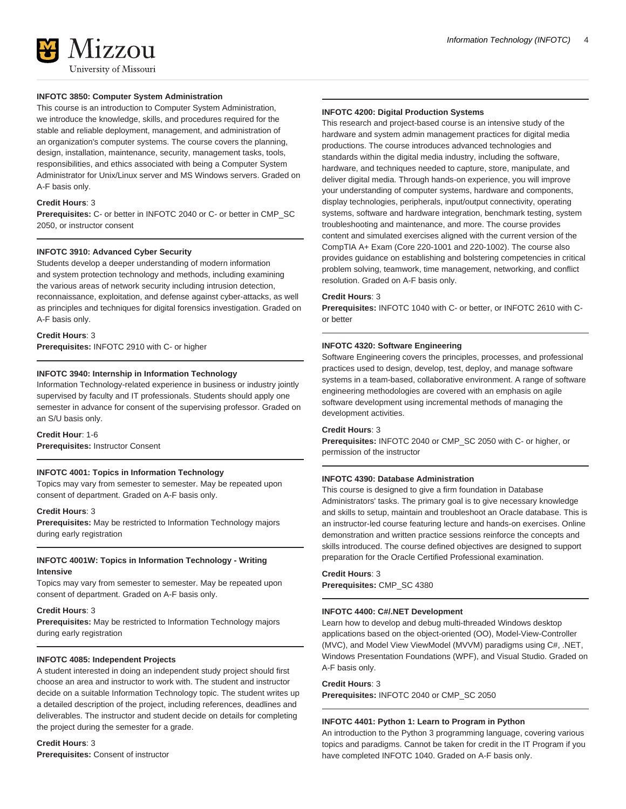# **INFOTC 3850: Computer System Administration**

This course is an introduction to Computer System Administration, we introduce the knowledge, skills, and procedures required for the stable and reliable deployment, management, and administration of an organization's computer systems. The course covers the planning, design, installation, maintenance, security, management tasks, tools, responsibilities, and ethics associated with being a Computer System Administrator for Unix/Linux server and MS Windows servers. Graded on A-F basis only.

### **Credit Hours**: 3

**Prerequisites:** C- or better in INFOTC 2040 or C- or better in CMP\_SC 2050, or instructor consent

## **INFOTC 3910: Advanced Cyber Security**

Students develop a deeper understanding of modern information and system protection technology and methods, including examining the various areas of network security including intrusion detection, reconnaissance, exploitation, and defense against cyber-attacks, as well as principles and techniques for digital forensics investigation. Graded on A-F basis only.

## **Credit Hours**: 3

**Prerequisites:** INFOTC 2910 with C- or higher

#### **INFOTC 3940: Internship in Information Technology**

Information Technology-related experience in business or industry jointly supervised by faculty and IT professionals. Students should apply one semester in advance for consent of the supervising professor. Graded on an S/U basis only.

**Credit Hour**: 1-6

**Prerequisites:** Instructor Consent

#### **INFOTC 4001: Topics in Information Technology**

Topics may vary from semester to semester. May be repeated upon consent of department. Graded on A-F basis only.

## **Credit Hours**: 3

**Prerequisites:** May be restricted to Information Technology majors during early registration

# **INFOTC 4001W: Topics in Information Technology - Writing Intensive**

Topics may vary from semester to semester. May be repeated upon consent of department. Graded on A-F basis only.

## **Credit Hours**: 3

**Prerequisites:** May be restricted to Information Technology majors during early registration

#### **INFOTC 4085: Independent Projects**

A student interested in doing an independent study project should first choose an area and instructor to work with. The student and instructor decide on a suitable Information Technology topic. The student writes up a detailed description of the project, including references, deadlines and deliverables. The instructor and student decide on details for completing the project during the semester for a grade.

#### **Credit Hours**: 3

**Prerequisites:** Consent of instructor

#### **INFOTC 4200: Digital Production Systems**

This research and project-based course is an intensive study of the hardware and system admin management practices for digital media productions. The course introduces advanced technologies and standards within the digital media industry, including the software, hardware, and techniques needed to capture, store, manipulate, and deliver digital media. Through hands-on experience, you will improve your understanding of computer systems, hardware and components, display technologies, peripherals, input/output connectivity, operating systems, software and hardware integration, benchmark testing, system troubleshooting and maintenance, and more. The course provides content and simulated exercises aligned with the current version of the CompTIA A+ Exam (Core 220-1001 and 220-1002). The course also provides guidance on establishing and bolstering competencies in critical problem solving, teamwork, time management, networking, and conflict resolution. Graded on A-F basis only.

#### **Credit Hours**: 3

**Prerequisites:** INFOTC 1040 with C- or better, or INFOTC 2610 with Cor better

#### **INFOTC 4320: Software Engineering**

Software Engineering covers the principles, processes, and professional practices used to design, develop, test, deploy, and manage software systems in a team-based, collaborative environment. A range of software engineering methodologies are covered with an emphasis on agile software development using incremental methods of managing the development activities.

#### **Credit Hours**: 3

**Prerequisites:** INFOTC 2040 or CMP\_SC 2050 with C- or higher, or permission of the instructor

#### **INFOTC 4390: Database Administration**

This course is designed to give a firm foundation in Database Administrators' tasks. The primary goal is to give necessary knowledge and skills to setup, maintain and troubleshoot an Oracle database. This is an instructor-led course featuring lecture and hands-on exercises. Online demonstration and written practice sessions reinforce the concepts and skills introduced. The course defined objectives are designed to support preparation for the Oracle Certified Professional examination.

## **Credit Hours**: 3 **Prerequisites:** CMP\_SC 4380

#### **INFOTC 4400: C#/.NET Development**

Learn how to develop and debug multi-threaded Windows desktop applications based on the object-oriented (OO), Model-View-Controller (MVC), and Model View ViewModel (MVVM) paradigms using C#, .NET, Windows Presentation Foundations (WPF), and Visual Studio. Graded on A-F basis only.

#### **Credit Hours**: 3

**Prerequisites:** INFOTC 2040 or CMP\_SC 2050

### **INFOTC 4401: Python 1: Learn to Program in Python**

An introduction to the Python 3 programming language, covering various topics and paradigms. Cannot be taken for credit in the IT Program if you have completed INFOTC 1040. Graded on A-F basis only.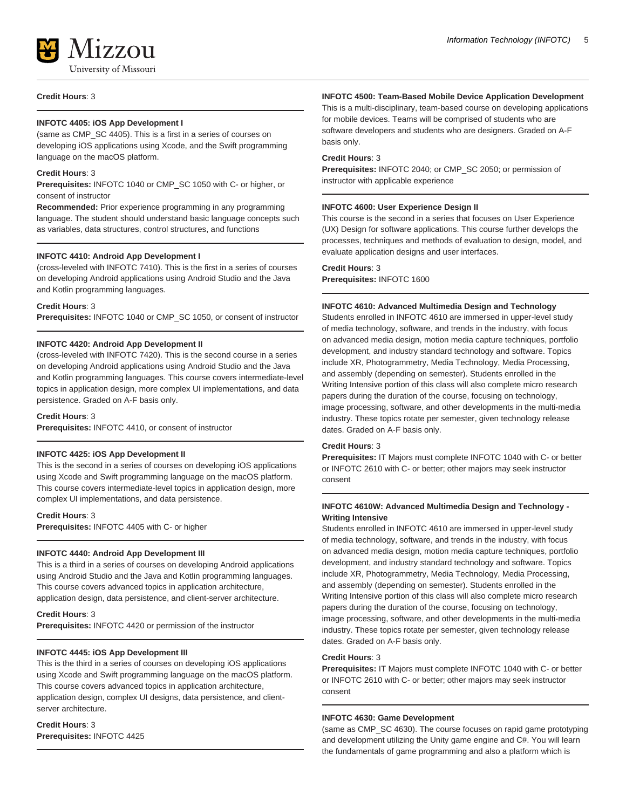## **Credit Hours**: 3

# **INFOTC 4405: iOS App Development I**

(same as CMP\_SC 4405). This is a first in a series of courses on developing iOS applications using Xcode, and the Swift programming language on the macOS platform.

## **Credit Hours**: 3

**Prerequisites:** INFOTC 1040 or CMP\_SC 1050 with C- or higher, or consent of instructor

**Recommended:** Prior experience programming in any programming language. The student should understand basic language concepts such as variables, data structures, control structures, and functions

## **INFOTC 4410: Android App Development I**

(cross-leveled with INFOTC 7410). This is the first in a series of courses on developing Android applications using Android Studio and the Java and Kotlin programming languages.

#### **Credit Hours**: 3

**Prerequisites:** INFOTC 1040 or CMP\_SC 1050, or consent of instructor

## **INFOTC 4420: Android App Development II**

(cross-leveled with INFOTC 7420). This is the second course in a series on developing Android applications using Android Studio and the Java and Kotlin programming languages. This course covers intermediate-level topics in application design, more complex UI implementations, and data persistence. Graded on A-F basis only.

## **Credit Hours**: 3

**Prerequisites:** INFOTC 4410, or consent of instructor

## **INFOTC 4425: iOS App Development II**

This is the second in a series of courses on developing iOS applications using Xcode and Swift programming language on the macOS platform. This course covers intermediate-level topics in application design, more complex UI implementations, and data persistence.

#### **Credit Hours**: 3

**Prerequisites:** INFOTC 4405 with C- or higher

## **INFOTC 4440: Android App Development III**

This is a third in a series of courses on developing Android applications using Android Studio and the Java and Kotlin programming languages. This course covers advanced topics in application architecture, application design, data persistence, and client-server architecture.

#### **Credit Hours**: 3

**Prerequisites:** INFOTC 4420 or permission of the instructor

# **INFOTC 4445: iOS App Development III**

This is the third in a series of courses on developing iOS applications using Xcode and Swift programming language on the macOS platform. This course covers advanced topics in application architecture, application design, complex UI designs, data persistence, and clientserver architecture.

# **Credit Hours**: 3 **Prerequisites:** INFOTC 4425

#### **INFOTC 4500: Team-Based Mobile Device Application Development**

This is a multi-disciplinary, team-based course on developing applications for mobile devices. Teams will be comprised of students who are software developers and students who are designers. Graded on A-F basis only.

#### **Credit Hours**: 3

**Prerequisites:** INFOTC 2040; or CMP\_SC 2050; or permission of instructor with applicable experience

#### **INFOTC 4600: User Experience Design II**

This course is the second in a series that focuses on User Experience (UX) Design for software applications. This course further develops the processes, techniques and methods of evaluation to design, model, and evaluate application designs and user interfaces.

## **Credit Hours**: 3

**Prerequisites:** INFOTC 1600

#### **INFOTC 4610: Advanced Multimedia Design and Technology**

Students enrolled in INFOTC 4610 are immersed in upper-level study of media technology, software, and trends in the industry, with focus on advanced media design, motion media capture techniques, portfolio development, and industry standard technology and software. Topics include XR, Photogrammetry, Media Technology, Media Processing, and assembly (depending on semester). Students enrolled in the Writing Intensive portion of this class will also complete micro research papers during the duration of the course, focusing on technology, image processing, software, and other developments in the multi-media industry. These topics rotate per semester, given technology release dates. Graded on A-F basis only.

#### **Credit Hours**: 3

**Prerequisites:** IT Majors must complete INFOTC 1040 with C- or better or INFOTC 2610 with C- or better; other majors may seek instructor consent

# **INFOTC 4610W: Advanced Multimedia Design and Technology - Writing Intensive**

Students enrolled in INFOTC 4610 are immersed in upper-level study of media technology, software, and trends in the industry, with focus on advanced media design, motion media capture techniques, portfolio development, and industry standard technology and software. Topics include XR, Photogrammetry, Media Technology, Media Processing, and assembly (depending on semester). Students enrolled in the Writing Intensive portion of this class will also complete micro research papers during the duration of the course, focusing on technology, image processing, software, and other developments in the multi-media industry. These topics rotate per semester, given technology release dates. Graded on A-F basis only.

## **Credit Hours**: 3

**Prerequisites:** IT Majors must complete INFOTC 1040 with C- or better or INFOTC 2610 with C- or better; other majors may seek instructor consent

## **INFOTC 4630: Game Development**

(same as CMP\_SC 4630). The course focuses on rapid game prototyping and development utilizing the Unity game engine and C#. You will learn the fundamentals of game programming and also a platform which is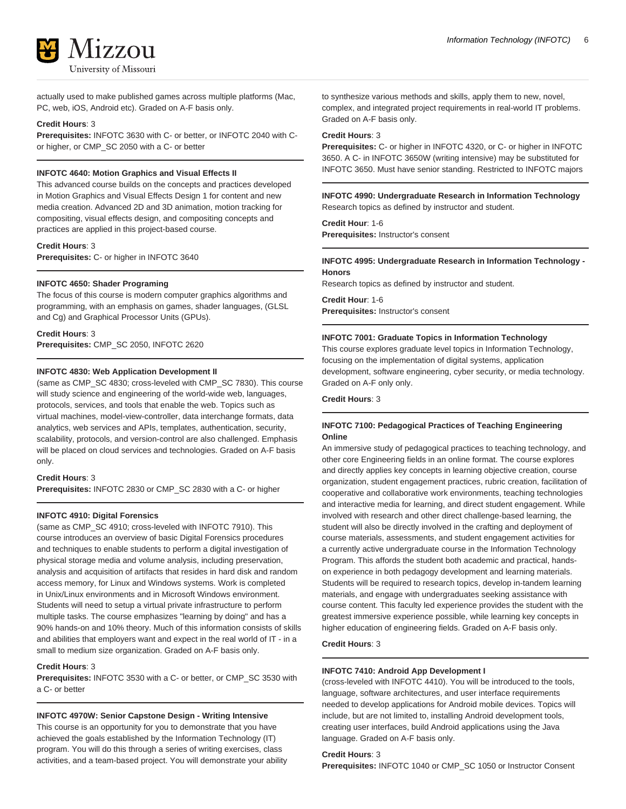

actually used to make published games across multiple platforms (Mac, PC, web, iOS, Android etc). Graded on A-F basis only.

## **Credit Hours**: 3

**Prerequisites:** INFOTC 3630 with C- or better, or INFOTC 2040 with Cor higher, or CMP\_SC 2050 with a C- or better

## **INFOTC 4640: Motion Graphics and Visual Effects II**

This advanced course builds on the concepts and practices developed in Motion Graphics and Visual Effects Design 1 for content and new media creation. Advanced 2D and 3D animation, motion tracking for compositing, visual effects design, and compositing concepts and practices are applied in this project-based course.

## **Credit Hours**: 3

**Prerequisites:** C- or higher in INFOTC 3640

## **INFOTC 4650: Shader Programing**

The focus of this course is modern computer graphics algorithms and programming, with an emphasis on games, shader languages, (GLSL and Cg) and Graphical Processor Units (GPUs).

#### **Credit Hours**: 3

**Prerequisites:** CMP\_SC 2050, INFOTC 2620

## **INFOTC 4830: Web Application Development II**

(same as CMP\_SC 4830; cross-leveled with CMP\_SC 7830). This course will study science and engineering of the world-wide web, languages, protocols, services, and tools that enable the web. Topics such as virtual machines, model-view-controller, data interchange formats, data analytics, web services and APIs, templates, authentication, security, scalability, protocols, and version-control are also challenged. Emphasis will be placed on cloud services and technologies. Graded on A-F basis only.

## **Credit Hours**: 3

**Prerequisites:** INFOTC 2830 or CMP\_SC 2830 with a C- or higher

# **INFOTC 4910: Digital Forensics**

(same as CMP\_SC 4910; cross-leveled with INFOTC 7910). This course introduces an overview of basic Digital Forensics procedures and techniques to enable students to perform a digital investigation of physical storage media and volume analysis, including preservation, analysis and acquisition of artifacts that resides in hard disk and random access memory, for Linux and Windows systems. Work is completed in Unix/Linux environments and in Microsoft Windows environment. Students will need to setup a virtual private infrastructure to perform multiple tasks. The course emphasizes "learning by doing" and has a 90% hands-on and 10% theory. Much of this information consists of skills and abilities that employers want and expect in the real world of IT - in a small to medium size organization. Graded on A-F basis only.

#### **Credit Hours**: 3

**Prerequisites:** INFOTC 3530 with a C- or better, or CMP\_SC 3530 with a C- or better

#### **INFOTC 4970W: Senior Capstone Design - Writing Intensive**

This course is an opportunity for you to demonstrate that you have achieved the goals established by the Information Technology (IT) program. You will do this through a series of writing exercises, class activities, and a team-based project. You will demonstrate your ability to synthesize various methods and skills, apply them to new, novel, complex, and integrated project requirements in real-world IT problems. Graded on A-F basis only.

## **Credit Hours**: 3

**Prerequisites:** C- or higher in INFOTC 4320, or C- or higher in INFOTC 3650. A C- in INFOTC 3650W (writing intensive) may be substituted for INFOTC 3650. Must have senior standing. Restricted to INFOTC majors

# **INFOTC 4990: Undergraduate Research in Information Technology** Research topics as defined by instructor and student.

**Credit Hour**: 1-6 **Prerequisites:** Instructor's consent

#### **INFOTC 4995: Undergraduate Research in Information Technology - Honors**

Research topics as defined by instructor and student.

**Credit Hour**: 1-6 **Prerequisites:** Instructor's consent

#### **INFOTC 7001: Graduate Topics in Information Technology**

This course explores graduate level topics in Information Technology, focusing on the implementation of digital systems, application development, software engineering, cyber security, or media technology. Graded on A-F only only.

**Credit Hours**: 3

# **INFOTC 7100: Pedagogical Practices of Teaching Engineering Online**

An immersive study of pedagogical practices to teaching technology, and other core Engineering fields in an online format. The course explores and directly applies key concepts in learning objective creation, course organization, student engagement practices, rubric creation, facilitation of cooperative and collaborative work environments, teaching technologies and interactive media for learning, and direct student engagement. While involved with research and other direct challenge-based learning, the student will also be directly involved in the crafting and deployment of course materials, assessments, and student engagement activities for a currently active undergraduate course in the Information Technology Program. This affords the student both academic and practical, handson experience in both pedagogy development and learning materials. Students will be required to research topics, develop in-tandem learning materials, and engage with undergraduates seeking assistance with course content. This faculty led experience provides the student with the greatest immersive experience possible, while learning key concepts in higher education of engineering fields. Graded on A-F basis only.

# **Credit Hours**: 3

#### **INFOTC 7410: Android App Development I**

(cross-leveled with INFOTC 4410). You will be introduced to the tools, language, software architectures, and user interface requirements needed to develop applications for Android mobile devices. Topics will include, but are not limited to, installing Android development tools, creating user interfaces, build Android applications using the Java language. Graded on A-F basis only.

**Credit Hours**: 3

**Prerequisites:** INFOTC 1040 or CMP\_SC 1050 or Instructor Consent